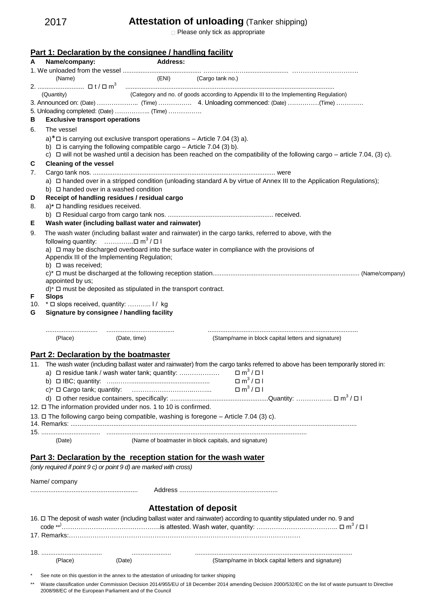## **Attestation of unloading** (Tanker shipping)

□ Please only tick as appropriate

## **Part 1: Declaration by the consignee / handling facility**

|    | (Name)                                                                                                                                                                                                                        |                               | (ENI) (Cargo tank no.)                                                                                                             |
|----|-------------------------------------------------------------------------------------------------------------------------------------------------------------------------------------------------------------------------------|-------------------------------|------------------------------------------------------------------------------------------------------------------------------------|
|    | (Quantity)                                                                                                                                                                                                                    |                               | (Category and no. of goods according to Appendix III to the Implementing Regulation)                                               |
|    |                                                                                                                                                                                                                               |                               |                                                                                                                                    |
|    | 5. Unloading completed: (Date)  (Time)                                                                                                                                                                                        |                               |                                                                                                                                    |
| В  | <b>Exclusive transport operations</b>                                                                                                                                                                                         |                               |                                                                                                                                    |
| 6. | The vessel                                                                                                                                                                                                                    |                               |                                                                                                                                    |
|    | $a$ <sup>*</sup> $\Box$ is carrying out exclusive transport operations – Article 7.04 (3) a).                                                                                                                                 |                               |                                                                                                                                    |
|    | b) $\Box$ is carrying the following compatible cargo - Article 7.04 (3) b).                                                                                                                                                   |                               | c) $\Box$ will not be washed until a decision has been reached on the compatibility of the following cargo – article 7.04, (3) c). |
| C  | <b>Cleaning of the vessel</b>                                                                                                                                                                                                 |                               |                                                                                                                                    |
| 7. |                                                                                                                                                                                                                               |                               |                                                                                                                                    |
|    |                                                                                                                                                                                                                               |                               | a) $\Box$ handed over in a stripped condition (unloading standard A by virtue of Annex III to the Application Regulations);        |
|    | b) $\Box$ handed over in a washed condition                                                                                                                                                                                   |                               |                                                                                                                                    |
| D  | Receipt of handling residues / residual cargo                                                                                                                                                                                 |                               |                                                                                                                                    |
| 8. | a)* □ handling residues received.                                                                                                                                                                                             |                               |                                                                                                                                    |
| Е  | Wash water (including ballast water and rainwater)                                                                                                                                                                            |                               |                                                                                                                                    |
| 9. |                                                                                                                                                                                                                               |                               |                                                                                                                                    |
|    | The wash water (including ballast water and rainwater) in the cargo tanks, referred to above, with the<br>following quantity: $\dots \dots \dots \dots \dots \dots \square$ m <sup>3</sup> / $\square$ I                      |                               |                                                                                                                                    |
|    | a) $\Box$ may be discharged overboard into the surface water in compliance with the provisions of                                                                                                                             |                               |                                                                                                                                    |
|    | Appendix III of the Implementing Regulation;                                                                                                                                                                                  |                               |                                                                                                                                    |
|    | b) $\Box$ was received;                                                                                                                                                                                                       |                               |                                                                                                                                    |
|    | appointed by us;                                                                                                                                                                                                              |                               |                                                                                                                                    |
|    | $d^*$ $\square$ must be deposited as stipulated in the transport contract.                                                                                                                                                    |                               |                                                                                                                                    |
| F  | <b>Slops</b>                                                                                                                                                                                                                  |                               |                                                                                                                                    |
|    |                                                                                                                                                                                                                               |                               |                                                                                                                                    |
|    | 10. * □ slops received, quantity:  1/ kg                                                                                                                                                                                      |                               |                                                                                                                                    |
| G  | Signature by consignee / handling facility                                                                                                                                                                                    |                               |                                                                                                                                    |
|    |                                                                                                                                                                                                                               |                               |                                                                                                                                    |
|    | (Place) and the control of the control of the control of the control of the control of the control of the control of the control of the control of the control of the control of the control of the control of the control of | (Date, time)                  | (Stamp/name in block capital letters and signature)                                                                                |
|    |                                                                                                                                                                                                                               |                               |                                                                                                                                    |
|    | Part 2: Declaration by the boatmaster                                                                                                                                                                                         |                               |                                                                                                                                    |
|    |                                                                                                                                                                                                                               |                               |                                                                                                                                    |
|    |                                                                                                                                                                                                                               |                               | $\Box$ m <sup>3</sup> / $\Box$ l                                                                                                   |
|    |                                                                                                                                                                                                                               |                               | $\Box$ m <sup>3</sup> / $\Box$ l<br>$\Box$ m <sup>3</sup> / $\Box$ l                                                               |
|    |                                                                                                                                                                                                                               |                               |                                                                                                                                    |
|    | 12. □ The information provided under nos. 1 to 10 is confirmed.                                                                                                                                                               |                               |                                                                                                                                    |
|    | 13. □ The following cargo being compatible, washing is foregone - Article 7.04 (3) c).                                                                                                                                        |                               |                                                                                                                                    |
|    |                                                                                                                                                                                                                               |                               |                                                                                                                                    |
|    |                                                                                                                                                                                                                               |                               |                                                                                                                                    |
|    | (Date)                                                                                                                                                                                                                        |                               | (Name of boatmaster in block capitals, and signature)                                                                              |
|    |                                                                                                                                                                                                                               |                               |                                                                                                                                    |
|    | Part 3: Declaration by the reception station for the wash water<br>(only required if point 9 c) or point 9 d) are marked with cross)                                                                                          |                               |                                                                                                                                    |
|    |                                                                                                                                                                                                                               |                               | 11. The wash water (including ballast water and rainwater) from the cargo tanks referred to above has been temporarily stored in:  |
|    | Name/company                                                                                                                                                                                                                  |                               |                                                                                                                                    |
|    |                                                                                                                                                                                                                               |                               |                                                                                                                                    |
|    |                                                                                                                                                                                                                               |                               |                                                                                                                                    |
|    |                                                                                                                                                                                                                               | <b>Attestation of deposit</b> |                                                                                                                                    |
|    |                                                                                                                                                                                                                               |                               | 16. O The deposit of wash water (including ballast water and rainwater) according to quantity stipulated under no. 9 and           |
|    |                                                                                                                                                                                                                               |                               |                                                                                                                                    |
|    |                                                                                                                                                                                                                               |                               |                                                                                                                                    |
|    | (Place)                                                                                                                                                                                                                       | (Date)                        | (Stamp/name in block capital letters and signature)                                                                                |

\*\* Waste classification under Commission Decision 2014/955/EU of 18 December 2014 amending Decision 2000/532/EC on the list of waste pursuant to Directive 2008/98/EC of the European Parliament and of the Council